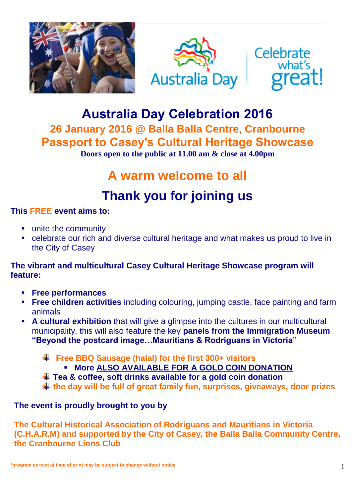





# **Australia Day Celebration 2016**

**26 January 2016 @ Balla Balla Centre, Cranbourne Passport to Casey's Cultural Heritage Showcase Doors open to the public at 11.00 am & close at 4.00pm**

# **A warm welcome to all**

# **Thank you for joining us**

### **This FREE event aims to:**

- **unite the community**
- celebrate our rich and diverse cultural heritage and what makes us proud to live in the City of Casey

### **The vibrant and multicultural Casey Cultural Heritage Showcase program will feature:**

- **Free performances**
- **Free children activities** including colouring, jumping castle, face painting and farm animals
- **A cultural exhibition** that will give a glimpse into the cultures in our multicultural municipality, this will also feature the key **panels from the Immigration Museum "Beyond the postcard image…Mauritians & Rodriguans in Victoria"** 
	- **Free BBQ Sausage (halal) for the first 300+ visitors**
		- **More ALSO AVAILABLE FOR A GOLD COIN DONATION**
	- **Tea & coffee, soft drinks available for a gold coin donation**
	- **the day will be full of great family fun, surprises, giveaways, door prizes**

### **The event is proudly brought to you by**

**The Cultural Historical Association of Rodriguans and Mauritians in Victoria (C.H.A.R.M) and supported by the City of Casey, the Balla Balla Community Centre, the Cranbourne Lions Club**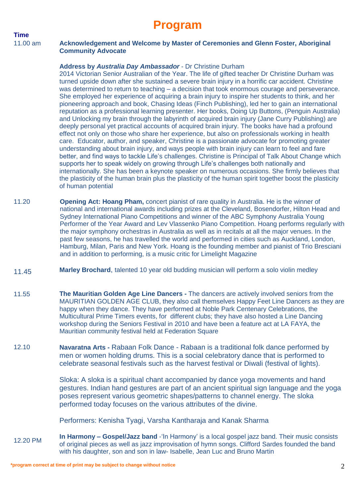## **Program**

### **Time**

#### 11.00 am **Acknowledgement and Welcome by Master of Ceremonies and Glenn Foster, Aboriginal Community Advocate**

#### **Address by** *Australia Day Ambassador* - Dr Christine Durham

2014 Victorian Senior Australian of the Year. The life of gifted teacher Dr Christine Durham was turned upside down after she sustained a severe brain injury in a horrific car accident. Christine was determined to return to teaching – a decision that took enormous courage and perseverance. She employed her experience of acquiring a brain injury to inspire her students to think, and her pioneering approach and book, Chasing Ideas (Finch Publishing), led her to gain an international reputation as a professional learning presenter. Her books, Doing Up Buttons, (Penguin Australia) and Unlocking my brain through the labyrinth of acquired brain injury (Jane Curry Publishing) are deeply personal yet practical accounts of acquired brain injury. The books have had a profound effect not only on those who share her experience, but also on professionals working in health care. Educator, author, and speaker, Christine is a passionate advocate for promoting greater understanding about brain injury, and ways people with brain injury can learn to feel and fare better, and find ways to tackle Life's challenges. Christine is Principal of Talk About Change which supports her to speak widely on growing through Life's challenges both nationally and internationally. She has been a keynote speaker on numerous occasions. She firmly believes that the plasticity of the human brain plus the plasticity of the human spirit together boost the plasticity of human potential

- 11.20 **Opening Act: Hoang Pham,** concert pianist of rare quality in Australia. He is the winner of national and international awards including prizes at the Cleveland, Bosendorfer, Hilton Head and Sydney International Piano Competitions and winner of the ABC Symphony Australia Young Performer of the Year Award and Lev Vlassenko Piano Competition. Hoang performs regularly with the major symphony orchestras in Australia as well as in recitals at all the major venues. In the past few seasons, he has travelled the world and performed in cities such as Auckland, London, Hamburg, Milan, Paris and New York. Hoang is the founding member and pianist of Trio Bresciani and in addition to performing, is a music critic for Limelight Magazine
- 11.45 **Marley Brochard**, talented 10 year old budding musician will perform a solo violin medley
- 11.55 **The Mauritian Golden Age Line Dancers -** The dancers are actively involved seniors from the MAURITIAN GOLDEN AGE CLUB, they also call themselves Happy Feet Line Dancers as they are happy when they dance. They have performed at Noble Park Centenary Celebrations, the Multicultural Prime Timers events, for different clubs; they have also hosted a Line Dancing workshop during the Seniors Festival in 2010 and have been a feature act at LA FAYA, the Mauritian community festival held at Federation Square
- 12.10 **Navaratna Arts -** Rabaan Folk Dance - Rabaan is a traditional folk dance performed by men or women holding drums. This is a social celebratory dance that is performed to celebrate seasonal festivals such as the harvest festival or Diwali (festival of lights).

Sloka: A sloka is a spiritual chant accompanied by dance yoga movements and hand gestures. Indian hand gestures are part of an ancient spiritual sign language and the yoga poses represent various geometric shapes/patterns to channel energy. The sloka performed today focuses on the various attributes of the divine.

Performers: Kenisha Tyagi, Varsha Kantharaja and Kanak Sharma

12.20 PM **In Harmony – Gospel/Jazz band** -'In Harmony' is a local gospel jazz band. Their music consists of original pieces as well as jazz improvisation of hymn songs. Clifford Sardes founded the band with his daughter, son and son in law- Isabelle, Jean Luc and Bruno Martin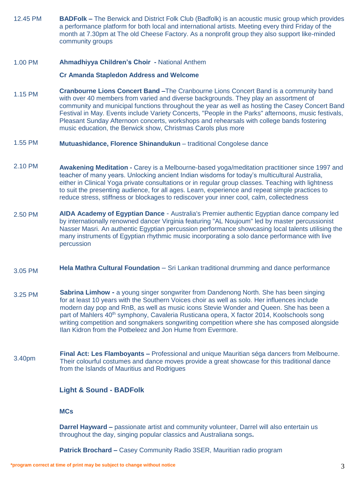12.45 PM **BADFolk –** The Berwick and District Folk Club (Badfolk) is an acoustic music group which provides a performance platform for both local and international artists. Meeting every third Friday of the month at 7.30pm at The old Cheese Factory. As a nonprofit group they also support like-minded community groups

#### 1.00 PM **Ahmadhiyya Children's Choir -** National Anthem

#### **Cr Amanda Stapledon Address and Welcome**

- 1.15 PM **Cranbourne Lions Concert Band –**The Cranbourne Lions Concert Band is a community band with over 40 members from varied and diverse backgrounds. They play an assortment of community and municipal functions throughout the year as well as hosting the Casey Concert Band Festival in May. Events include Variety Concerts, "People in the Parks" afternoons, music festivals, Pleasant Sunday Afternoon concerts, workshops and rehearsals with college bands fostering music education, the Berwick show, Christmas Carols plus more
- 1.55 PM **Mutuashidance, Florence Shinandukun** – traditional Congolese dance
- 2.10 PM **Awakening Meditation -** Carey is a Melbourne-based yoga/meditation practitioner since 1997 and teacher of many years. Unlocking ancient Indian wisdoms for today's multicultural Australia, either in Clinical Yoga private consultations or in regular group classes. Teaching with lightness to suit the presenting audience, for all ages. Learn, experience and repeat simple practices to reduce stress, stiffness or blockages to rediscover your inner cool, calm, collectedness
- 2.50 PM **AIDA Academy of Egyptian Dance** - Australia's Premier authentic Egyptian dance company led by internationally renowned dancer Virginia featuring "AL Noujoum" led by master percussionist Nasser Masri. An authentic Egyptian percussion performance showcasing local talents utilising the many instruments of Egyptian rhythmic music incorporating a solo dance performance with live percussion
- 3.05 PM **Hela Mathra Cultural Foundation** – Sri Lankan traditional drumming and dance performance
- 3.25 PM **Sabrina Limhow -** a young singer songwriter from Dandenong North. She has been singing for at least 10 years with the Southern Voices choir as well as solo. Her influences include modern day pop and RnB, as well as music icons Stevie Wonder and Queen. She has been a part of Mahlers 40<sup>th</sup> symphony, Cavaleria Rusticana opera, X factor 2014, Koolschools song writing competition and songmakers songwriting competition where she has composed alongside Ilan Kidron from the Potbeleez and Jon Hume from Evermore.
- 3.40pm **Final Act: Les Flamboyants –** Professional and unique Mauritian séga dancers from Melbourne. Their colourful costumes and dance moves provide a great showcase for this traditional dance from the Islands of Mauritius and Rodrigues

#### **Light & Sound - BADFolk**

#### **MCs**

**Darrel Hayward** – passionate artist and community volunteer, Darrel will also entertain us throughout the day, singing popular classics and Australiana songs**.**

**Patrick Brochard –** Casey Community Radio 3SER, Mauritian radio program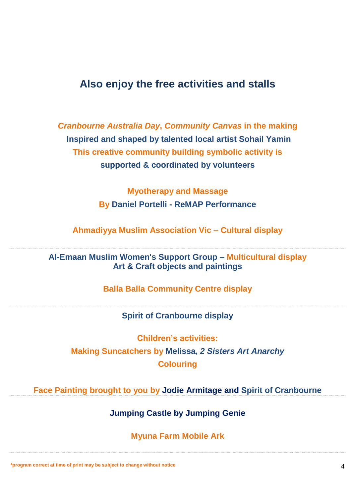### **Also enjoy the free activities and stalls**

*Cranbourne Australia Day***,** *Community Canvas* **in the making Inspired and shaped by talented local artist Sohail Yamin This creative community building symbolic activity is supported & coordinated by volunteers**

> **Myotherapy and Massage By Daniel Portelli - ReMAP Performance**

**Ahmadiyya Muslim Association Vic – Cultural display**

**Al-Emaan Muslim Women's Support Group – Multicultural display Art & Craft objects and paintings**

**Balla Balla Community Centre display** 

**Spirit of Cranbourne display**

**Children's activities: Making Suncatchers by Melissa,** *2 Sisters Art Anarchy* **Colouring**

**Face Painting brought to you by Jodie Armitage and Spirit of Cranbourne**

**Jumping Castle by Jumping Genie**

**Myuna Farm Mobile Ark**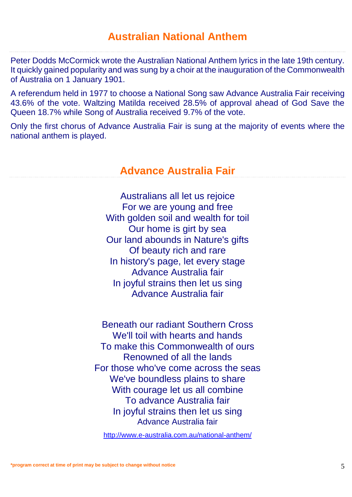Peter Dodds McCormick wrote the Australian National Anthem lyrics in the late 19th century. It quickly gained popularity and was sung by a choir at the inauguration of the Commonwealth of Australia on 1 January 1901.

A referendum held in 1977 to choose a National Song saw Advance Australia Fair receiving 43.6% of the vote. Waltzing Matilda received 28.5% of approval ahead of God Save the Queen 18.7% while Song of Australia received 9.7% of the vote.

Only the first chorus of Advance Australia Fair is sung at the majority of events where the national anthem is played.

### **Advance Australia Fair**

Australians all let us rejoice For we are young and free With golden soil and wealth for toil Our home is girt by sea Our land abounds in Nature's gifts Of beauty rich and rare In history's page, let every stage Advance Australia fair In joyful strains then let us sing Advance Australia fair

Beneath our radiant Southern Cross We'll toil with hearts and hands To make this Commonwealth of ours Renowned of all the lands For those who've come across the seas We've boundless plains to share With courage let us all combine To advance Australia fair In joyful strains then let us sing Advance Australia fair

<http://www.e-australia.com.au/national-anthem/>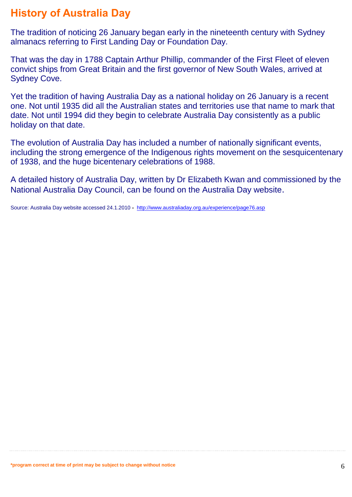### **History of Australia Day**

The tradition of noticing 26 January began early in the nineteenth century with Sydney almanacs referring to First Landing Day or Foundation Day.

That was the day in 1788 Captain Arthur Phillip, commander of the First Fleet of eleven convict ships from Great Britain and the first governor of New South Wales, arrived at Sydney Cove.

Yet the tradition of having Australia Day as a national holiday on 26 January is a recent one. Not until 1935 did all the Australian states and territories use that name to mark that date. Not until 1994 did they begin to celebrate Australia Day consistently as a public holiday on that date.

The evolution of Australia Day has included a number of nationally significant events, including the strong emergence of the Indigenous rights movement on the sesquicentenary of 1938, and the huge bicentenary celebrations of 1988.

A detailed history of Australia Day, written by Dr Elizabeth Kwan and commissioned by the National Australia Day Council, can be found on the Australia Day website.

Source: Australia Day website accessed 24.1.2010 **-** <http://www.australiaday.org.au/experience/page76.asp>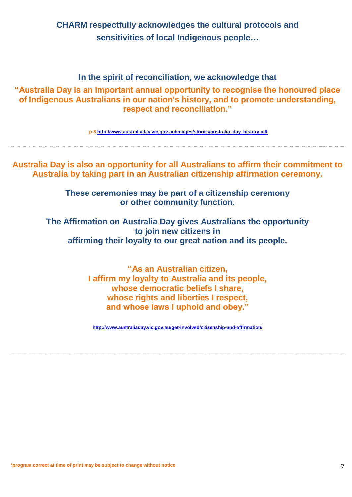**CHARM respectfully acknowledges the cultural protocols and sensitivities of local Indigenous people…**

### **In the spirit of reconciliation, we acknowledge that**

**"Australia Day is an important annual opportunity to recognise the honoured place of Indigenous Australians in our nation's history, and to promote understanding, respect and reconciliation."**

**p.8 [http://www.australiaday.vic.gov.au/images/stories/australia\\_day\\_history.pdf](http://www.australiaday.vic.gov.au/images/stories/australia_day_history.pdf)**

**Australia Day is also an opportunity for all Australians to affirm their commitment to Australia by taking part in an Australian citizenship affirmation ceremony.** 

> **These ceremonies may be part of a citizenship ceremony or other community function.**

**The Affirmation on Australia Day gives Australians the opportunity to join new citizens in affirming their loyalty to our great nation and its people.**

> **"As an Australian citizen, I affirm my loyalty to Australia and its people, whose democratic beliefs I share, whose rights and liberties I respect, and whose laws I uphold and obey."**

**<http://www.australiaday.vic.gov.au/get-involved/citizenship-and-affirmation/>**